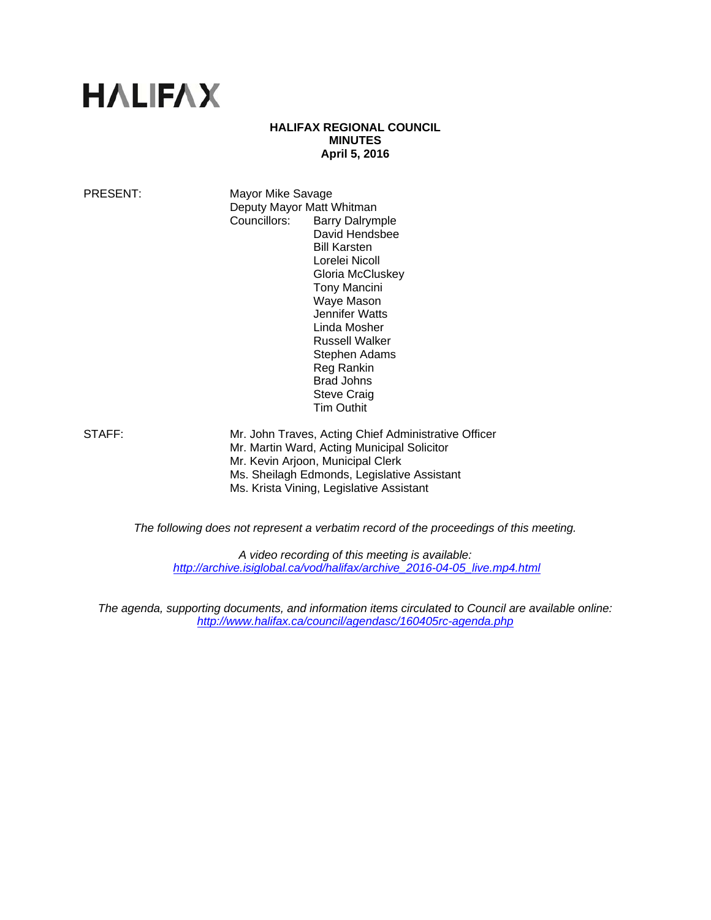# **HALIFAX**

## **HALIFAX REGIONAL COUNCIL MINUTES April 5, 2016**

PRESENT: Mayor Mike Savage Deputy Mayor Matt Whitman Councillors: Barry Dalrymple David Hendsbee Bill Karsten Lorelei Nicoll Gloria McCluskey Tony Mancini Waye Mason Jennifer Watts Linda Mosher Russell Walker Stephen Adams Reg Rankin Brad Johns Steve Craig Tim Outhit

STAFF: Mr. John Traves, Acting Chief Administrative Officer Mr. Martin Ward, Acting Municipal Solicitor Mr. Kevin Arjoon, Municipal Clerk Ms. Sheilagh Edmonds, Legislative Assistant Ms. Krista Vining, Legislative Assistant

*The following does not represent a verbatim record of the proceedings of this meeting.* 

*A video recording of this meeting is available: http://archive.isiglobal.ca/vod/halifax/archive\_2016-04-05\_live.mp4.html*

*The agenda, supporting documents, and information items circulated to Council are available online: http://www.halifax.ca/council/agendasc/160405rc-agenda.php*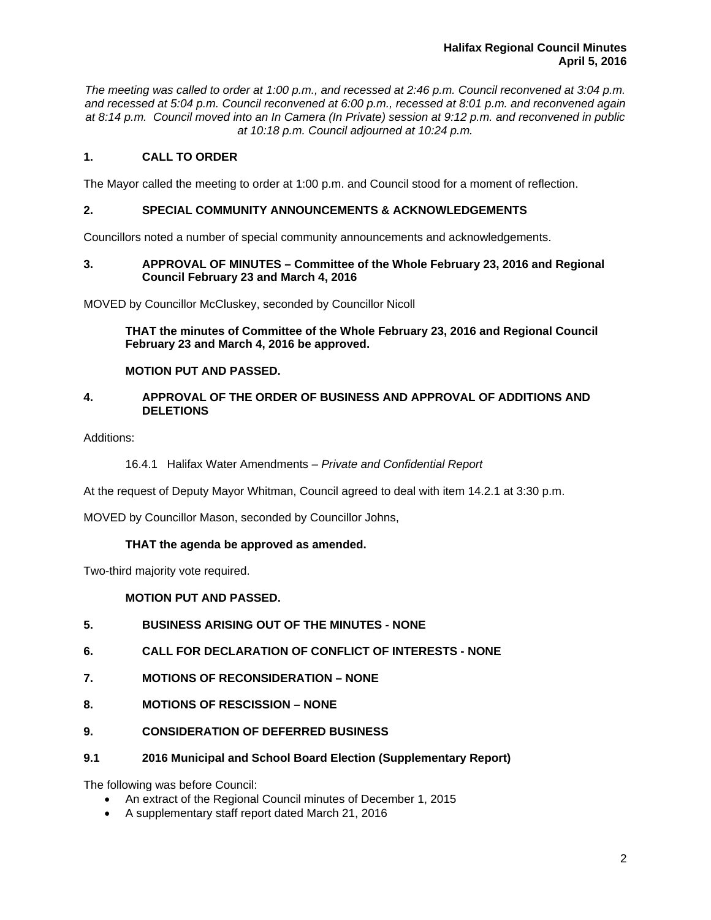*The meeting was called to order at 1:00 p.m., and recessed at 2:46 p.m. Council reconvened at 3:04 p.m. and recessed at 5:04 p.m. Council reconvened at 6:00 p.m., recessed at 8:01 p.m. and reconvened again at 8:14 p.m. Council moved into an In Camera (In Private) session at 9:12 p.m. and reconvened in public at 10:18 p.m. Council adjourned at 10:24 p.m.* 

## **1. CALL TO ORDER**

The Mayor called the meeting to order at 1:00 p.m. and Council stood for a moment of reflection.

## **2. SPECIAL COMMUNITY ANNOUNCEMENTS & ACKNOWLEDGEMENTS**

Councillors noted a number of special community announcements and acknowledgements.

## **3. APPROVAL OF MINUTES – Committee of the Whole February 23, 2016 and Regional Council February 23 and March 4, 2016**

MOVED by Councillor McCluskey, seconded by Councillor Nicoll

**THAT the minutes of Committee of the Whole February 23, 2016 and Regional Council February 23 and March 4, 2016 be approved.** 

## **MOTION PUT AND PASSED.**

## **4. APPROVAL OF THE ORDER OF BUSINESS AND APPROVAL OF ADDITIONS AND DELETIONS**

Additions:

## 16.4.1 Halifax Water Amendments *– Private and Confidential Report*

At the request of Deputy Mayor Whitman, Council agreed to deal with item 14.2.1 at 3:30 p.m.

MOVED by Councillor Mason, seconded by Councillor Johns,

## **THAT the agenda be approved as amended.**

Two-third majority vote required.

## **MOTION PUT AND PASSED.**

- **5. BUSINESS ARISING OUT OF THE MINUTES NONE**
- **6. CALL FOR DECLARATION OF CONFLICT OF INTERESTS NONE**
- **7. MOTIONS OF RECONSIDERATION NONE**
- **8. MOTIONS OF RESCISSION NONE**
- **9. CONSIDERATION OF DEFERRED BUSINESS**
- **9.1 2016 Municipal and School Board Election (Supplementary Report)**

The following was before Council:

- An extract of the Regional Council minutes of December 1, 2015
- A supplementary staff report dated March 21, 2016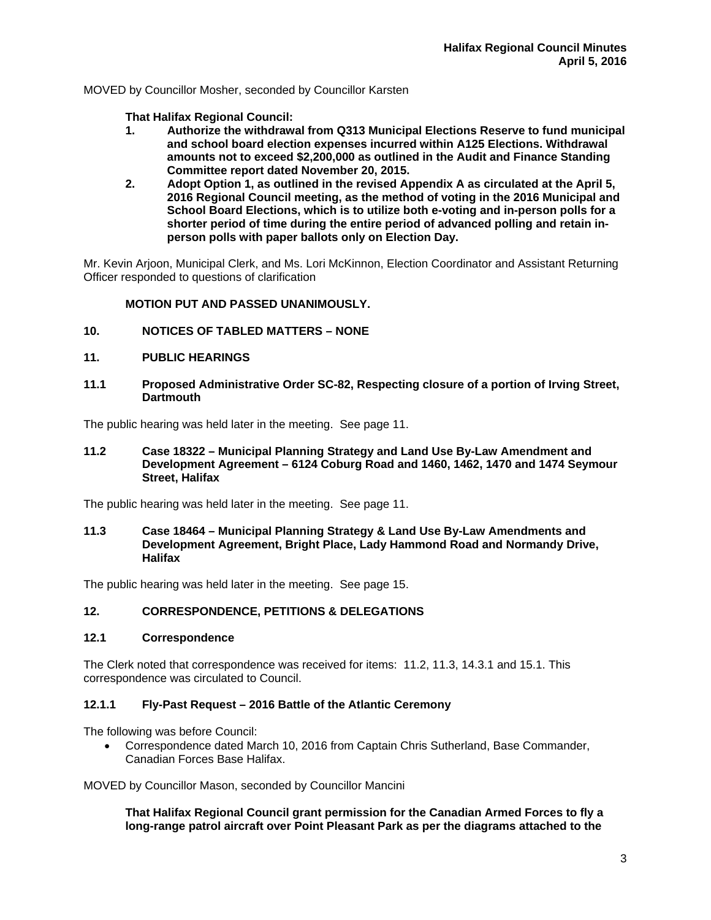MOVED by Councillor Mosher, seconded by Councillor Karsten

**That Halifax Regional Council:** 

- **1. Authorize the withdrawal from Q313 Municipal Elections Reserve to fund municipal and school board election expenses incurred within A125 Elections. Withdrawal amounts not to exceed \$2,200,000 as outlined in the Audit and Finance Standing Committee report dated November 20, 2015.**
- **2. Adopt Option 1, as outlined in the revised Appendix A as circulated at the April 5, 2016 Regional Council meeting, as the method of voting in the 2016 Municipal and School Board Elections, which is to utilize both e-voting and in-person polls for a shorter period of time during the entire period of advanced polling and retain in person polls with paper ballots only on Election Day.**

Mr. Kevin Arjoon, Municipal Clerk, and Ms. Lori McKinnon, Election Coordinator and Assistant Returning Officer responded to questions of clarification

## **MOTION PUT AND PASSED UNANIMOUSLY.**

- **10. NOTICES OF TABLED MATTERS NONE**
- **11. PUBLIC HEARINGS**
- **11.1 Proposed Administrative Order SC-82, Respecting closure of a portion of Irving Street, Dartmouth**

The public hearing was held later in the meeting. See page 11.

**11.2 Case 18322 – Municipal Planning Strategy and Land Use By-Law Amendment and Development Agreement – 6124 Coburg Road and 1460, 1462, 1470 and 1474 Seymour Street, Halifax** 

The public hearing was held later in the meeting. See page 11.

**11.3 Case 18464 – Municipal Planning Strategy & Land Use By-Law Amendments and Development Agreement, Bright Place, Lady Hammond Road and Normandy Drive, Halifax** 

The public hearing was held later in the meeting. See page 15.

## **12. CORRESPONDENCE, PETITIONS & DELEGATIONS**

## **12.1 Correspondence**

The Clerk noted that correspondence was received for items: 11.2, 11.3, 14.3.1 and 15.1. This correspondence was circulated to Council.

## **12.1.1 Fly-Past Request – 2016 Battle of the Atlantic Ceremony**

The following was before Council:

 Correspondence dated March 10, 2016 from Captain Chris Sutherland, Base Commander, Canadian Forces Base Halifax.

MOVED by Councillor Mason, seconded by Councillor Mancini

**That Halifax Regional Council grant permission for the Canadian Armed Forces to fly a long-range patrol aircraft over Point Pleasant Park as per the diagrams attached to the**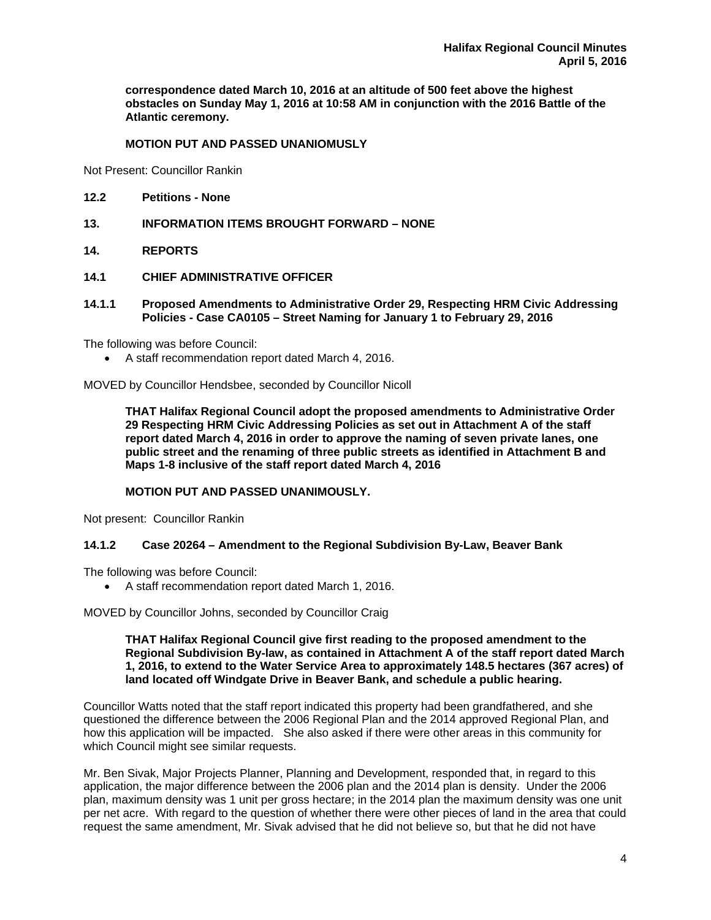**correspondence dated March 10, 2016 at an altitude of 500 feet above the highest obstacles on Sunday May 1, 2016 at 10:58 AM in conjunction with the 2016 Battle of the Atlantic ceremony.** 

## **MOTION PUT AND PASSED UNANIOMUSLY**

Not Present: Councillor Rankin

- **12.2 Petitions None**
- **13. INFORMATION ITEMS BROUGHT FORWARD NONE**
- **14. REPORTS**
- **14.1 CHIEF ADMINISTRATIVE OFFICER**
- **14.1.1 Proposed Amendments to Administrative Order 29, Respecting HRM Civic Addressing Policies - Case CA0105 – Street Naming for January 1 to February 29, 2016**

The following was before Council:

A staff recommendation report dated March 4, 2016.

MOVED by Councillor Hendsbee, seconded by Councillor Nicoll

**THAT Halifax Regional Council adopt the proposed amendments to Administrative Order 29 Respecting HRM Civic Addressing Policies as set out in Attachment A of the staff report dated March 4, 2016 in order to approve the naming of seven private lanes, one public street and the renaming of three public streets as identified in Attachment B and Maps 1-8 inclusive of the staff report dated March 4, 2016** 

## **MOTION PUT AND PASSED UNANIMOUSLY.**

Not present: Councillor Rankin

## **14.1.2 Case 20264 – Amendment to the Regional Subdivision By-Law, Beaver Bank**

The following was before Council:

A staff recommendation report dated March 1, 2016.

MOVED by Councillor Johns, seconded by Councillor Craig

**THAT Halifax Regional Council give first reading to the proposed amendment to the Regional Subdivision By-law, as contained in Attachment A of the staff report dated March 1, 2016, to extend to the Water Service Area to approximately 148.5 hectares (367 acres) of land located off Windgate Drive in Beaver Bank, and schedule a public hearing.** 

Councillor Watts noted that the staff report indicated this property had been grandfathered, and she questioned the difference between the 2006 Regional Plan and the 2014 approved Regional Plan, and how this application will be impacted. She also asked if there were other areas in this community for which Council might see similar requests.

Mr. Ben Sivak, Major Projects Planner, Planning and Development, responded that, in regard to this application, the major difference between the 2006 plan and the 2014 plan is density. Under the 2006 plan, maximum density was 1 unit per gross hectare; in the 2014 plan the maximum density was one unit per net acre. With regard to the question of whether there were other pieces of land in the area that could request the same amendment, Mr. Sivak advised that he did not believe so, but that he did not have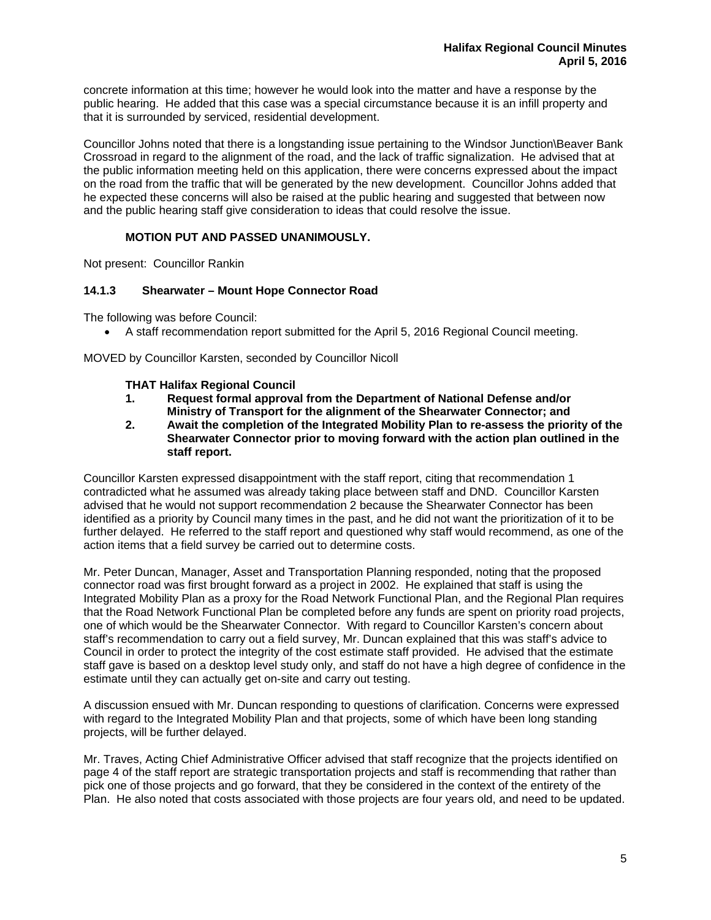concrete information at this time; however he would look into the matter and have a response by the public hearing. He added that this case was a special circumstance because it is an infill property and that it is surrounded by serviced, residential development.

Councillor Johns noted that there is a longstanding issue pertaining to the Windsor Junction\Beaver Bank Crossroad in regard to the alignment of the road, and the lack of traffic signalization. He advised that at the public information meeting held on this application, there were concerns expressed about the impact on the road from the traffic that will be generated by the new development. Councillor Johns added that he expected these concerns will also be raised at the public hearing and suggested that between now and the public hearing staff give consideration to ideas that could resolve the issue.

## **MOTION PUT AND PASSED UNANIMOUSLY.**

Not present: Councillor Rankin

## **14.1.3 Shearwater – Mount Hope Connector Road**

The following was before Council:

A staff recommendation report submitted for the April 5, 2016 Regional Council meeting.

## MOVED by Councillor Karsten, seconded by Councillor Nicoll

## **THAT Halifax Regional Council**

- **1. Request formal approval from the Department of National Defense and/or Ministry of Transport for the alignment of the Shearwater Connector; and**
- **2. Await the completion of the Integrated Mobility Plan to re-assess the priority of the Shearwater Connector prior to moving forward with the action plan outlined in the staff report.**

Councillor Karsten expressed disappointment with the staff report, citing that recommendation 1 contradicted what he assumed was already taking place between staff and DND. Councillor Karsten advised that he would not support recommendation 2 because the Shearwater Connector has been identified as a priority by Council many times in the past, and he did not want the prioritization of it to be further delayed. He referred to the staff report and questioned why staff would recommend, as one of the action items that a field survey be carried out to determine costs.

Mr. Peter Duncan, Manager, Asset and Transportation Planning responded, noting that the proposed connector road was first brought forward as a project in 2002. He explained that staff is using the Integrated Mobility Plan as a proxy for the Road Network Functional Plan, and the Regional Plan requires that the Road Network Functional Plan be completed before any funds are spent on priority road projects, one of which would be the Shearwater Connector. With regard to Councillor Karsten's concern about staff's recommendation to carry out a field survey, Mr. Duncan explained that this was staff's advice to Council in order to protect the integrity of the cost estimate staff provided. He advised that the estimate staff gave is based on a desktop level study only, and staff do not have a high degree of confidence in the estimate until they can actually get on-site and carry out testing.

A discussion ensued with Mr. Duncan responding to questions of clarification. Concerns were expressed with regard to the Integrated Mobility Plan and that projects, some of which have been long standing projects, will be further delayed.

Mr. Traves, Acting Chief Administrative Officer advised that staff recognize that the projects identified on page 4 of the staff report are strategic transportation projects and staff is recommending that rather than pick one of those projects and go forward, that they be considered in the context of the entirety of the Plan. He also noted that costs associated with those projects are four years old, and need to be updated.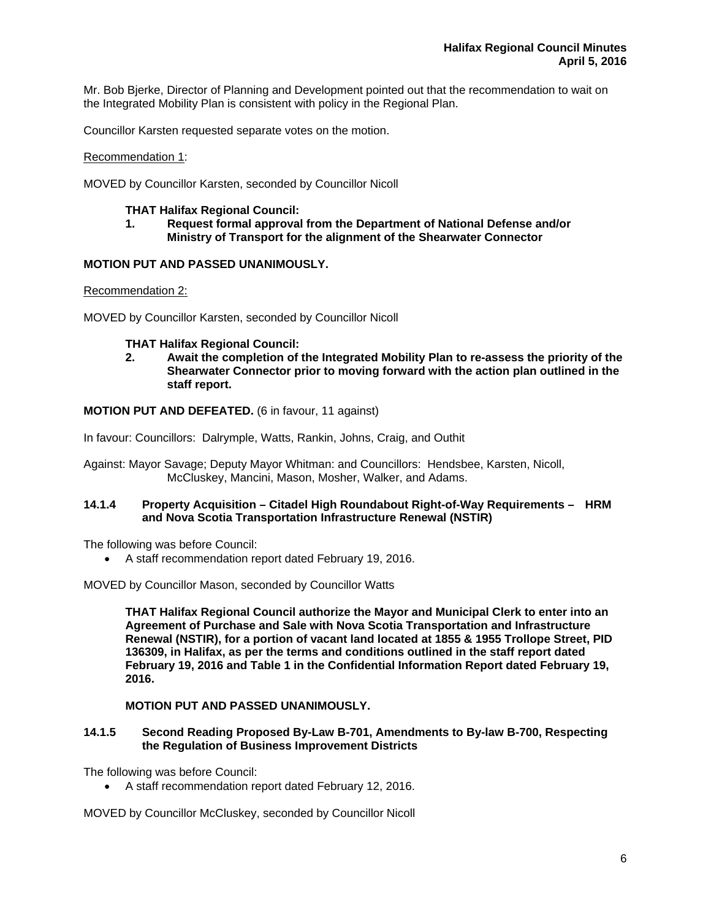Mr. Bob Bjerke, Director of Planning and Development pointed out that the recommendation to wait on the Integrated Mobility Plan is consistent with policy in the Regional Plan.

Councillor Karsten requested separate votes on the motion.

Recommendation 1:

MOVED by Councillor Karsten, seconded by Councillor Nicoll

#### **THAT Halifax Regional Council:**

**1. Request formal approval from the Department of National Defense and/or Ministry of Transport for the alignment of the Shearwater Connector** 

#### **MOTION PUT AND PASSED UNANIMOUSLY.**

Recommendation 2:

MOVED by Councillor Karsten, seconded by Councillor Nicoll

#### **THAT Halifax Regional Council:**

**2. Await the completion of the Integrated Mobility Plan to re-assess the priority of the Shearwater Connector prior to moving forward with the action plan outlined in the staff report.** 

**MOTION PUT AND DEFEATED.** (6 in favour, 11 against)

In favour: Councillors: Dalrymple, Watts, Rankin, Johns, Craig, and Outhit

Against: Mayor Savage; Deputy Mayor Whitman: and Councillors: Hendsbee, Karsten, Nicoll, McCluskey, Mancini, Mason, Mosher, Walker, and Adams.

## **14.1.4 Property Acquisition – Citadel High Roundabout Right-of-Way Requirements – HRM and Nova Scotia Transportation Infrastructure Renewal (NSTIR)**

The following was before Council:

A staff recommendation report dated February 19, 2016.

MOVED by Councillor Mason, seconded by Councillor Watts

**THAT Halifax Regional Council authorize the Mayor and Municipal Clerk to enter into an Agreement of Purchase and Sale with Nova Scotia Transportation and Infrastructure Renewal (NSTIR), for a portion of vacant land located at 1855 & 1955 Trollope Street, PID 136309, in Halifax, as per the terms and conditions outlined in the staff report dated February 19, 2016 and Table 1 in the Confidential Information Report dated February 19, 2016.** 

## **MOTION PUT AND PASSED UNANIMOUSLY.**

## **14.1.5 Second Reading Proposed By-Law B-701, Amendments to By-law B-700, Respecting the Regulation of Business Improvement Districts**

The following was before Council:

A staff recommendation report dated February 12, 2016.

MOVED by Councillor McCluskey, seconded by Councillor Nicoll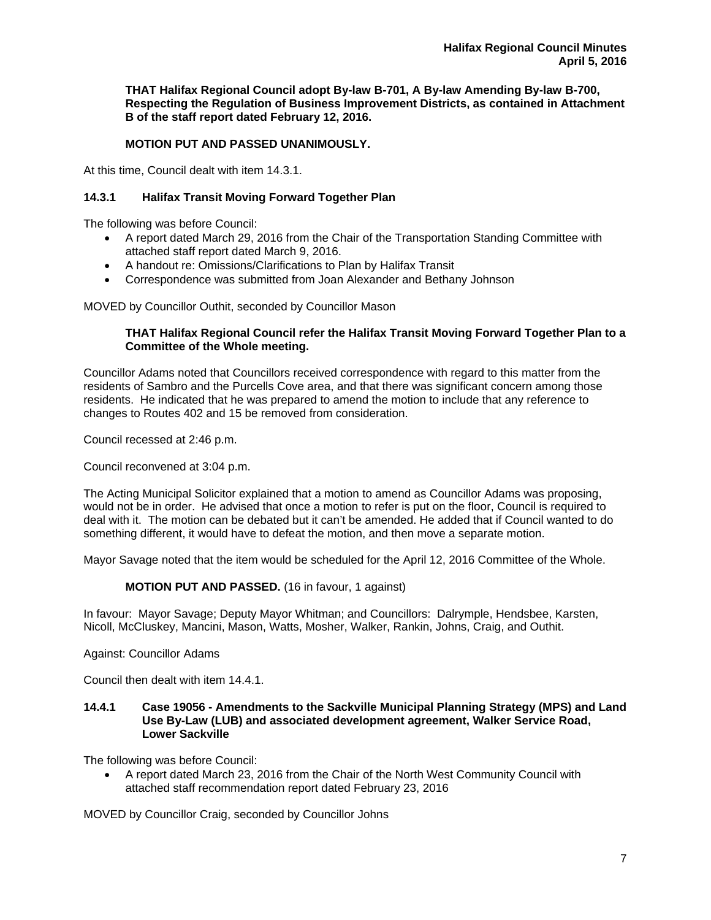**THAT Halifax Regional Council adopt By-law B-701, A By-law Amending By-law B-700, Respecting the Regulation of Business Improvement Districts, as contained in Attachment B of the staff report dated February 12, 2016.** 

## **MOTION PUT AND PASSED UNANIMOUSLY.**

At this time, Council dealt with item 14.3.1.

## **14.3.1 Halifax Transit Moving Forward Together Plan**

The following was before Council:

- A report dated March 29, 2016 from the Chair of the Transportation Standing Committee with attached staff report dated March 9, 2016.
- A handout re: Omissions/Clarifications to Plan by Halifax Transit
- Correspondence was submitted from Joan Alexander and Bethany Johnson

MOVED by Councillor Outhit, seconded by Councillor Mason

## **THAT Halifax Regional Council refer the Halifax Transit Moving Forward Together Plan to a Committee of the Whole meeting.**

Councillor Adams noted that Councillors received correspondence with regard to this matter from the residents of Sambro and the Purcells Cove area, and that there was significant concern among those residents. He indicated that he was prepared to amend the motion to include that any reference to changes to Routes 402 and 15 be removed from consideration.

Council recessed at 2:46 p.m.

Council reconvened at 3:04 p.m.

The Acting Municipal Solicitor explained that a motion to amend as Councillor Adams was proposing, would not be in order. He advised that once a motion to refer is put on the floor, Council is required to deal with it. The motion can be debated but it can't be amended. He added that if Council wanted to do something different, it would have to defeat the motion, and then move a separate motion.

Mayor Savage noted that the item would be scheduled for the April 12, 2016 Committee of the Whole.

## **MOTION PUT AND PASSED.** (16 in favour, 1 against)

In favour: Mayor Savage; Deputy Mayor Whitman; and Councillors: Dalrymple, Hendsbee, Karsten, Nicoll, McCluskey, Mancini, Mason, Watts, Mosher, Walker, Rankin, Johns, Craig, and Outhit.

Against: Councillor Adams

Council then dealt with item 14.4.1.

## **14.4.1 Case 19056 - Amendments to the Sackville Municipal Planning Strategy (MPS) and Land Use By-Law (LUB) and associated development agreement, Walker Service Road, Lower Sackville**

The following was before Council:

 A report dated March 23, 2016 from the Chair of the North West Community Council with attached staff recommendation report dated February 23, 2016

MOVED by Councillor Craig, seconded by Councillor Johns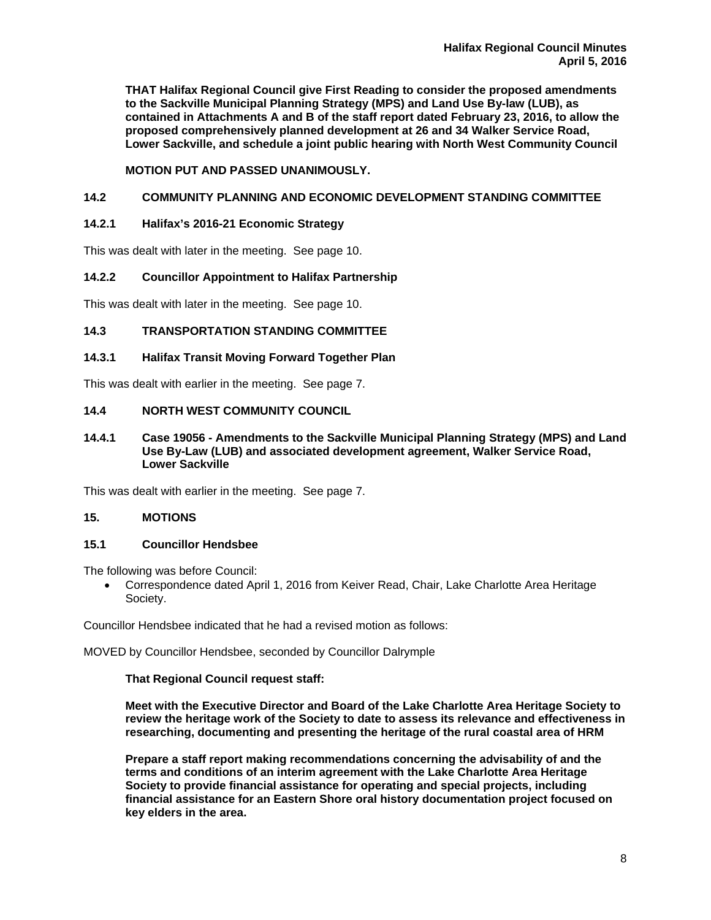**THAT Halifax Regional Council give First Reading to consider the proposed amendments to the Sackville Municipal Planning Strategy (MPS) and Land Use By-law (LUB), as contained in Attachments A and B of the staff report dated February 23, 2016, to allow the proposed comprehensively planned development at 26 and 34 Walker Service Road, Lower Sackville, and schedule a joint public hearing with North West Community Council** 

## **MOTION PUT AND PASSED UNANIMOUSLY.**

## **14.2 COMMUNITY PLANNING AND ECONOMIC DEVELOPMENT STANDING COMMITTEE**

## **14.2.1 Halifax's 2016-21 Economic Strategy**

This was dealt with later in the meeting. See page 10.

## **14.2.2 Councillor Appointment to Halifax Partnership**

This was dealt with later in the meeting. See page 10.

## **14.3 TRANSPORTATION STANDING COMMITTEE**

## **14.3.1 Halifax Transit Moving Forward Together Plan**

This was dealt with earlier in the meeting. See page 7.

## **14.4 NORTH WEST COMMUNITY COUNCIL**

**14.4.1 Case 19056 - Amendments to the Sackville Municipal Planning Strategy (MPS) and Land Use By-Law (LUB) and associated development agreement, Walker Service Road, Lower Sackville** 

This was dealt with earlier in the meeting. See page 7.

## **15. MOTIONS**

## **15.1 Councillor Hendsbee**

The following was before Council:

 Correspondence dated April 1, 2016 from Keiver Read, Chair, Lake Charlotte Area Heritage Society.

Councillor Hendsbee indicated that he had a revised motion as follows:

MOVED by Councillor Hendsbee, seconded by Councillor Dalrymple

## **That Regional Council request staff:**

**Meet with the Executive Director and Board of the Lake Charlotte Area Heritage Society to review the heritage work of the Society to date to assess its relevance and effectiveness in researching, documenting and presenting the heritage of the rural coastal area of HRM** 

**Prepare a staff report making recommendations concerning the advisability of and the terms and conditions of an interim agreement with the Lake Charlotte Area Heritage Society to provide financial assistance for operating and special projects, including financial assistance for an Eastern Shore oral history documentation project focused on key elders in the area.**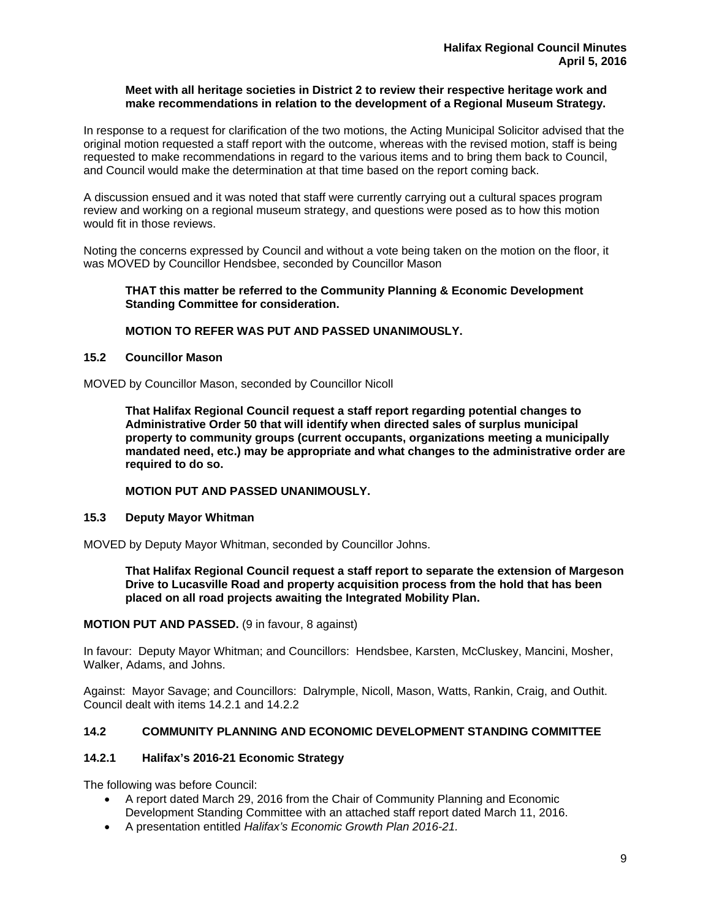## **Meet with all heritage societies in District 2 to review their respective heritage work and make recommendations in relation to the development of a Regional Museum Strategy.**

In response to a request for clarification of the two motions, the Acting Municipal Solicitor advised that the original motion requested a staff report with the outcome, whereas with the revised motion, staff is being requested to make recommendations in regard to the various items and to bring them back to Council, and Council would make the determination at that time based on the report coming back.

A discussion ensued and it was noted that staff were currently carrying out a cultural spaces program review and working on a regional museum strategy, and questions were posed as to how this motion would fit in those reviews.

Noting the concerns expressed by Council and without a vote being taken on the motion on the floor, it was MOVED by Councillor Hendsbee, seconded by Councillor Mason

## **THAT this matter be referred to the Community Planning & Economic Development Standing Committee for consideration.**

**MOTION TO REFER WAS PUT AND PASSED UNANIMOUSLY.** 

## **15.2 Councillor Mason**

MOVED by Councillor Mason, seconded by Councillor Nicoll

**That Halifax Regional Council request a staff report regarding potential changes to Administrative Order 50 that will identify when directed sales of surplus municipal property to community groups (current occupants, organizations meeting a municipally mandated need, etc.) may be appropriate and what changes to the administrative order are required to do so.** 

## **MOTION PUT AND PASSED UNANIMOUSLY.**

## **15.3 Deputy Mayor Whitman**

MOVED by Deputy Mayor Whitman, seconded by Councillor Johns.

**That Halifax Regional Council request a staff report to separate the extension of Margeson Drive to Lucasville Road and property acquisition process from the hold that has been placed on all road projects awaiting the Integrated Mobility Plan.** 

## **MOTION PUT AND PASSED.** (9 in favour, 8 against)

In favour: Deputy Mayor Whitman; and Councillors: Hendsbee, Karsten, McCluskey, Mancini, Mosher, Walker, Adams, and Johns.

Against: Mayor Savage; and Councillors: Dalrymple, Nicoll, Mason, Watts, Rankin, Craig, and Outhit. Council dealt with items 14.2.1 and 14.2.2

## **14.2 COMMUNITY PLANNING AND ECONOMIC DEVELOPMENT STANDING COMMITTEE**

## **14.2.1 Halifax's 2016-21 Economic Strategy**

The following was before Council:

- A report dated March 29, 2016 from the Chair of Community Planning and Economic Development Standing Committee with an attached staff report dated March 11, 2016.
- A presentation entitled *Halifax's Economic Growth Plan 2016-21.*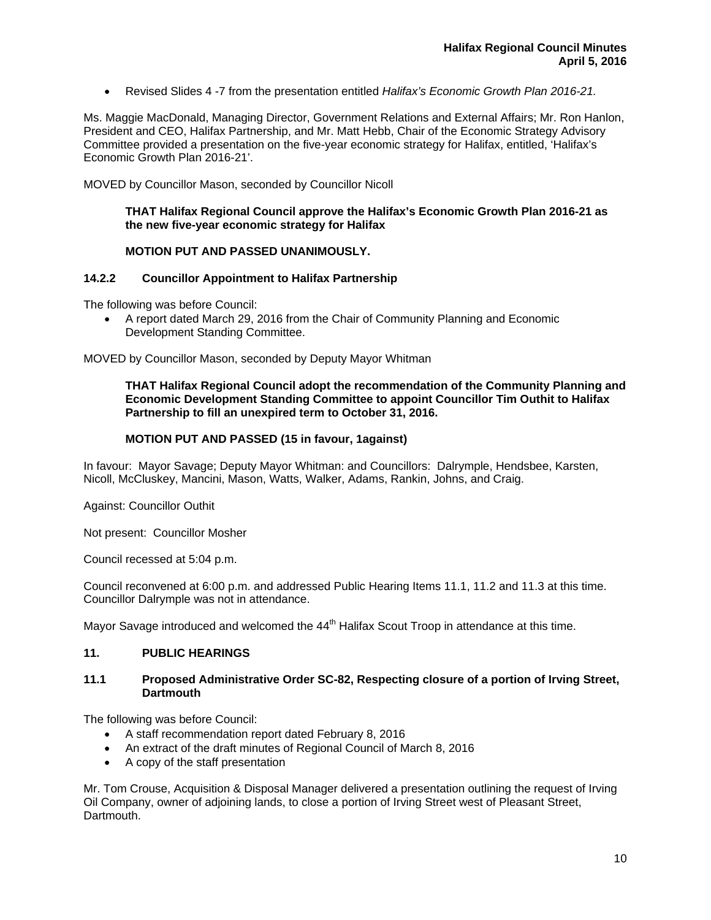Revised Slides 4 -7 from the presentation entitled *Halifax's Economic Growth Plan 2016-21.*

Ms. Maggie MacDonald, Managing Director, Government Relations and External Affairs; Mr. Ron Hanlon, President and CEO, Halifax Partnership, and Mr. Matt Hebb, Chair of the Economic Strategy Advisory Committee provided a presentation on the five-year economic strategy for Halifax, entitled, 'Halifax's Economic Growth Plan 2016-21'.

MOVED by Councillor Mason, seconded by Councillor Nicoll

**THAT Halifax Regional Council approve the Halifax's Economic Growth Plan 2016-21 as the new five-year economic strategy for Halifax** 

## **MOTION PUT AND PASSED UNANIMOUSLY.**

## **14.2.2 Councillor Appointment to Halifax Partnership**

The following was before Council:

 A report dated March 29, 2016 from the Chair of Community Planning and Economic Development Standing Committee.

MOVED by Councillor Mason, seconded by Deputy Mayor Whitman

#### **THAT Halifax Regional Council adopt the recommendation of the Community Planning and Economic Development Standing Committee to appoint Councillor Tim Outhit to Halifax Partnership to fill an unexpired term to October 31, 2016.**

## **MOTION PUT AND PASSED (15 in favour, 1against)**

In favour: Mayor Savage; Deputy Mayor Whitman: and Councillors: Dalrymple, Hendsbee, Karsten, Nicoll, McCluskey, Mancini, Mason, Watts, Walker, Adams, Rankin, Johns, and Craig.

Against: Councillor Outhit

Not present: Councillor Mosher

Council recessed at 5:04 p.m.

Council reconvened at 6:00 p.m. and addressed Public Hearing Items 11.1, 11.2 and 11.3 at this time. Councillor Dalrymple was not in attendance.

Mayor Savage introduced and welcomed the  $44<sup>th</sup>$  Halifax Scout Troop in attendance at this time.

#### **11. PUBLIC HEARINGS**

## **11.1 Proposed Administrative Order SC-82, Respecting closure of a portion of Irving Street, Dartmouth**

The following was before Council:

- A staff recommendation report dated February 8, 2016
- An extract of the draft minutes of Regional Council of March 8, 2016
- A copy of the staff presentation

Mr. Tom Crouse, Acquisition & Disposal Manager delivered a presentation outlining the request of Irving Oil Company, owner of adjoining lands, to close a portion of Irving Street west of Pleasant Street, Dartmouth.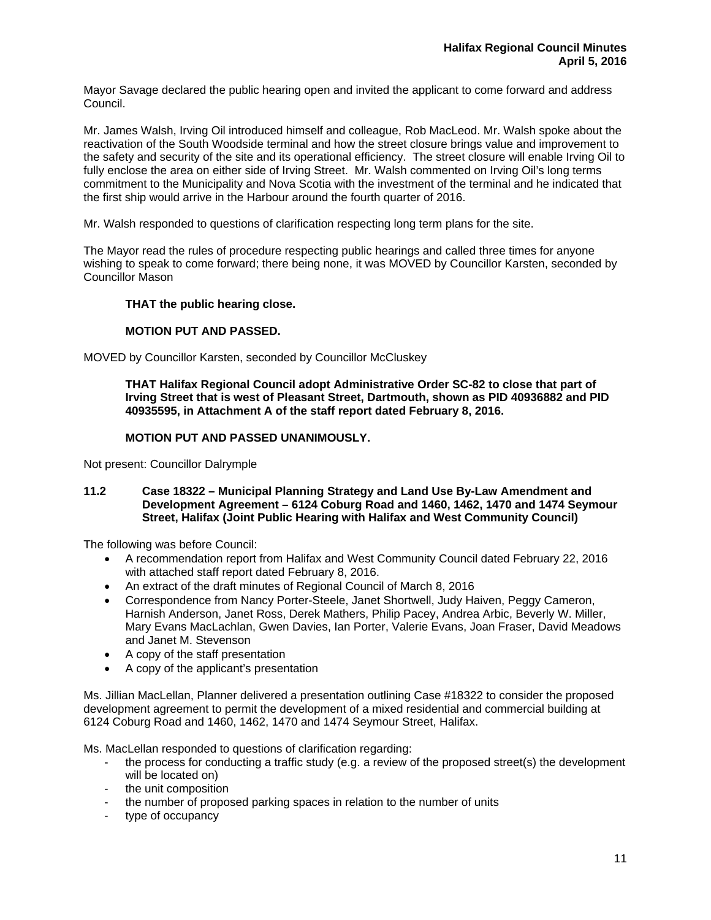Mayor Savage declared the public hearing open and invited the applicant to come forward and address Council.

Mr. James Walsh, Irving Oil introduced himself and colleague, Rob MacLeod. Mr. Walsh spoke about the reactivation of the South Woodside terminal and how the street closure brings value and improvement to the safety and security of the site and its operational efficiency. The street closure will enable Irving Oil to fully enclose the area on either side of Irving Street. Mr. Walsh commented on Irving Oil's long terms commitment to the Municipality and Nova Scotia with the investment of the terminal and he indicated that the first ship would arrive in the Harbour around the fourth quarter of 2016.

Mr. Walsh responded to questions of clarification respecting long term plans for the site.

The Mayor read the rules of procedure respecting public hearings and called three times for anyone wishing to speak to come forward; there being none, it was MOVED by Councillor Karsten, seconded by Councillor Mason

## **THAT the public hearing close.**

## **MOTION PUT AND PASSED.**

MOVED by Councillor Karsten, seconded by Councillor McCluskey

**THAT Halifax Regional Council adopt Administrative Order SC-82 to close that part of Irving Street that is west of Pleasant Street, Dartmouth, shown as PID 40936882 and PID 40935595, in Attachment A of the staff report dated February 8, 2016.** 

## **MOTION PUT AND PASSED UNANIMOUSLY.**

Not present: Councillor Dalrymple

## **11.2 Case 18322 – Municipal Planning Strategy and Land Use By-Law Amendment and Development Agreement – 6124 Coburg Road and 1460, 1462, 1470 and 1474 Seymour Street, Halifax (Joint Public Hearing with Halifax and West Community Council)**

The following was before Council:

- A recommendation report from Halifax and West Community Council dated February 22, 2016 with attached staff report dated February 8, 2016.
- An extract of the draft minutes of Regional Council of March 8, 2016
- Correspondence from Nancy Porter-Steele, Janet Shortwell, Judy Haiven, Peggy Cameron, Harnish Anderson, Janet Ross, Derek Mathers, Philip Pacey, Andrea Arbic, Beverly W. Miller, Mary Evans MacLachlan, Gwen Davies, Ian Porter, Valerie Evans, Joan Fraser, David Meadows and Janet M. Stevenson
- A copy of the staff presentation
- A copy of the applicant's presentation

Ms. Jillian MacLellan, Planner delivered a presentation outlining Case #18322 to consider the proposed development agreement to permit the development of a mixed residential and commercial building at 6124 Coburg Road and 1460, 1462, 1470 and 1474 Seymour Street, Halifax.

Ms. MacLellan responded to questions of clarification regarding:

- the process for conducting a traffic study (e.g. a review of the proposed street(s) the development will be located on)
- the unit composition
- the number of proposed parking spaces in relation to the number of units
- type of occupancy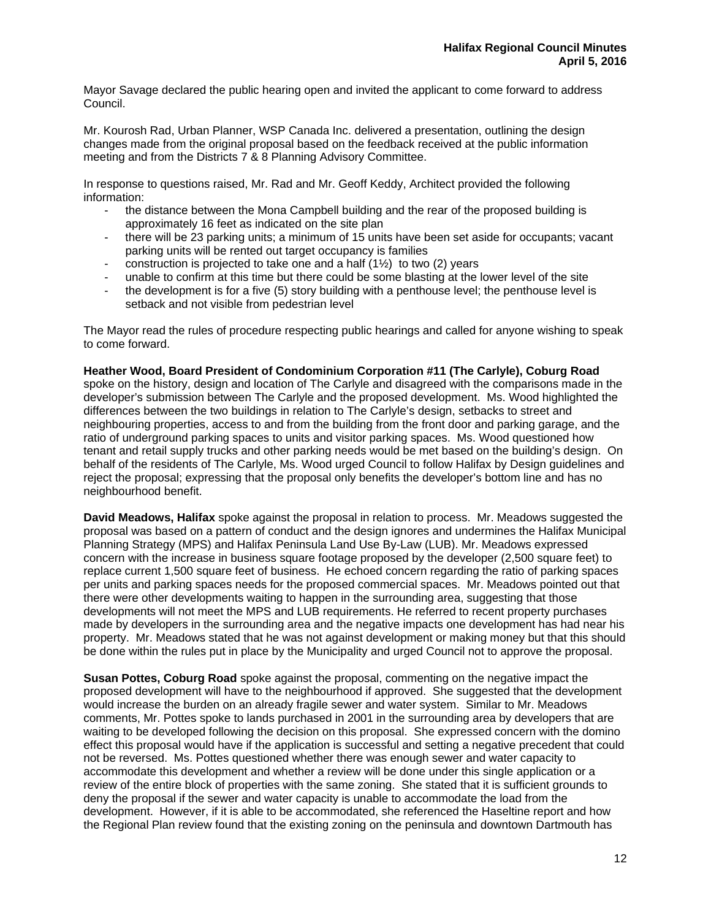Mayor Savage declared the public hearing open and invited the applicant to come forward to address Council.

Mr. Kourosh Rad, Urban Planner, WSP Canada Inc. delivered a presentation, outlining the design changes made from the original proposal based on the feedback received at the public information meeting and from the Districts 7 & 8 Planning Advisory Committee.

In response to questions raised, Mr. Rad and Mr. Geoff Keddy, Architect provided the following information:

- the distance between the Mona Campbell building and the rear of the proposed building is approximately 16 feet as indicated on the site plan
- there will be 23 parking units; a minimum of 15 units have been set aside for occupants; vacant parking units will be rented out target occupancy is families
- construction is projected to take one and a half  $(1\frac{1}{2})$  to two  $(2)$  years
- unable to confirm at this time but there could be some blasting at the lower level of the site
- the development is for a five (5) story building with a penthouse level; the penthouse level is setback and not visible from pedestrian level

The Mayor read the rules of procedure respecting public hearings and called for anyone wishing to speak to come forward.

**Heather Wood, Board President of Condominium Corporation #11 (The Carlyle), Coburg Road** spoke on the history, design and location of The Carlyle and disagreed with the comparisons made in the developer's submission between The Carlyle and the proposed development. Ms. Wood highlighted the differences between the two buildings in relation to The Carlyle's design, setbacks to street and neighbouring properties, access to and from the building from the front door and parking garage, and the ratio of underground parking spaces to units and visitor parking spaces. Ms. Wood questioned how tenant and retail supply trucks and other parking needs would be met based on the building's design. On behalf of the residents of The Carlyle, Ms. Wood urged Council to follow Halifax by Design guidelines and reject the proposal; expressing that the proposal only benefits the developer's bottom line and has no neighbourhood benefit.

**David Meadows, Halifax** spoke against the proposal in relation to process. Mr. Meadows suggested the proposal was based on a pattern of conduct and the design ignores and undermines the Halifax Municipal Planning Strategy (MPS) and Halifax Peninsula Land Use By-Law (LUB). Mr. Meadows expressed concern with the increase in business square footage proposed by the developer (2,500 square feet) to replace current 1,500 square feet of business. He echoed concern regarding the ratio of parking spaces per units and parking spaces needs for the proposed commercial spaces. Mr. Meadows pointed out that there were other developments waiting to happen in the surrounding area, suggesting that those developments will not meet the MPS and LUB requirements. He referred to recent property purchases made by developers in the surrounding area and the negative impacts one development has had near his property. Mr. Meadows stated that he was not against development or making money but that this should be done within the rules put in place by the Municipality and urged Council not to approve the proposal.

**Susan Pottes, Coburg Road** spoke against the proposal, commenting on the negative impact the proposed development will have to the neighbourhood if approved. She suggested that the development would increase the burden on an already fragile sewer and water system. Similar to Mr. Meadows comments, Mr. Pottes spoke to lands purchased in 2001 in the surrounding area by developers that are waiting to be developed following the decision on this proposal. She expressed concern with the domino effect this proposal would have if the application is successful and setting a negative precedent that could not be reversed. Ms. Pottes questioned whether there was enough sewer and water capacity to accommodate this development and whether a review will be done under this single application or a review of the entire block of properties with the same zoning. She stated that it is sufficient grounds to deny the proposal if the sewer and water capacity is unable to accommodate the load from the development. However, if it is able to be accommodated, she referenced the Haseltine report and how the Regional Plan review found that the existing zoning on the peninsula and downtown Dartmouth has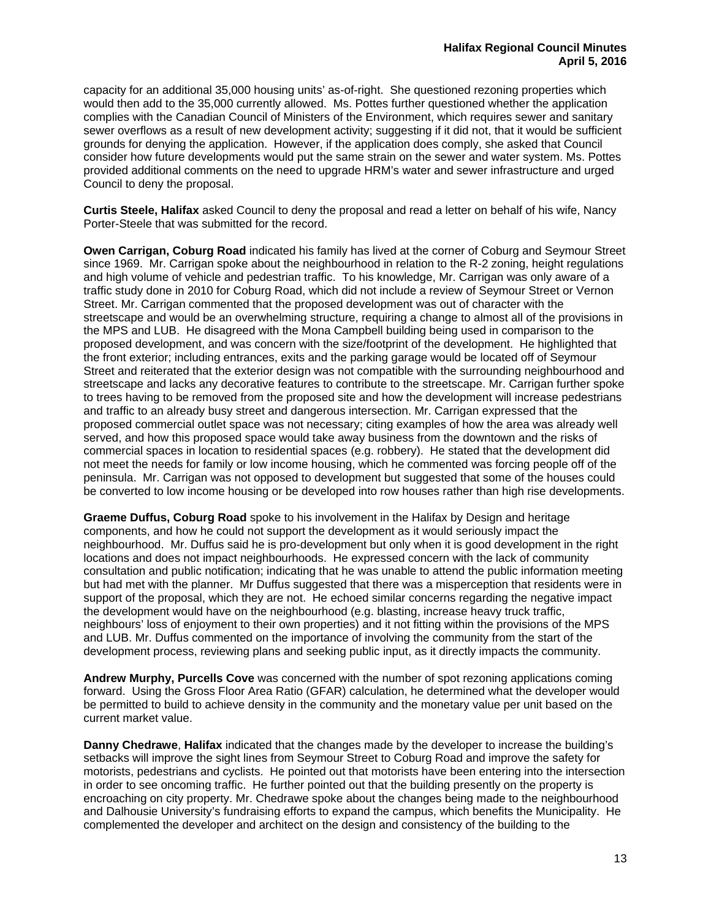capacity for an additional 35,000 housing units' as-of-right. She questioned rezoning properties which would then add to the 35,000 currently allowed. Ms. Pottes further questioned whether the application complies with the Canadian Council of Ministers of the Environment, which requires sewer and sanitary sewer overflows as a result of new development activity; suggesting if it did not, that it would be sufficient grounds for denying the application. However, if the application does comply, she asked that Council consider how future developments would put the same strain on the sewer and water system. Ms. Pottes provided additional comments on the need to upgrade HRM's water and sewer infrastructure and urged Council to deny the proposal.

**Curtis Steele, Halifax** asked Council to deny the proposal and read a letter on behalf of his wife, Nancy Porter-Steele that was submitted for the record.

**Owen Carrigan, Coburg Road** indicated his family has lived at the corner of Coburg and Seymour Street since 1969. Mr. Carrigan spoke about the neighbourhood in relation to the R-2 zoning, height regulations and high volume of vehicle and pedestrian traffic. To his knowledge, Mr. Carrigan was only aware of a traffic study done in 2010 for Coburg Road, which did not include a review of Seymour Street or Vernon Street. Mr. Carrigan commented that the proposed development was out of character with the streetscape and would be an overwhelming structure, requiring a change to almost all of the provisions in the MPS and LUB. He disagreed with the Mona Campbell building being used in comparison to the proposed development, and was concern with the size/footprint of the development. He highlighted that the front exterior; including entrances, exits and the parking garage would be located off of Seymour Street and reiterated that the exterior design was not compatible with the surrounding neighbourhood and streetscape and lacks any decorative features to contribute to the streetscape. Mr. Carrigan further spoke to trees having to be removed from the proposed site and how the development will increase pedestrians and traffic to an already busy street and dangerous intersection. Mr. Carrigan expressed that the proposed commercial outlet space was not necessary; citing examples of how the area was already well served, and how this proposed space would take away business from the downtown and the risks of commercial spaces in location to residential spaces (e.g. robbery). He stated that the development did not meet the needs for family or low income housing, which he commented was forcing people off of the peninsula. Mr. Carrigan was not opposed to development but suggested that some of the houses could be converted to low income housing or be developed into row houses rather than high rise developments.

**Graeme Duffus, Coburg Road** spoke to his involvement in the Halifax by Design and heritage components, and how he could not support the development as it would seriously impact the neighbourhood. Mr. Duffus said he is pro-development but only when it is good development in the right locations and does not impact neighbourhoods. He expressed concern with the lack of community consultation and public notification; indicating that he was unable to attend the public information meeting but had met with the planner. Mr Duffus suggested that there was a misperception that residents were in support of the proposal, which they are not. He echoed similar concerns regarding the negative impact the development would have on the neighbourhood (e.g. blasting, increase heavy truck traffic, neighbours' loss of enjoyment to their own properties) and it not fitting within the provisions of the MPS and LUB. Mr. Duffus commented on the importance of involving the community from the start of the development process, reviewing plans and seeking public input, as it directly impacts the community.

**Andrew Murphy, Purcells Cove** was concerned with the number of spot rezoning applications coming forward. Using the Gross Floor Area Ratio (GFAR) calculation, he determined what the developer would be permitted to build to achieve density in the community and the monetary value per unit based on the current market value.

**Danny Chedrawe**, **Halifax** indicated that the changes made by the developer to increase the building's setbacks will improve the sight lines from Seymour Street to Coburg Road and improve the safety for motorists, pedestrians and cyclists. He pointed out that motorists have been entering into the intersection in order to see oncoming traffic. He further pointed out that the building presently on the property is encroaching on city property. Mr. Chedrawe spoke about the changes being made to the neighbourhood and Dalhousie University's fundraising efforts to expand the campus, which benefits the Municipality. He complemented the developer and architect on the design and consistency of the building to the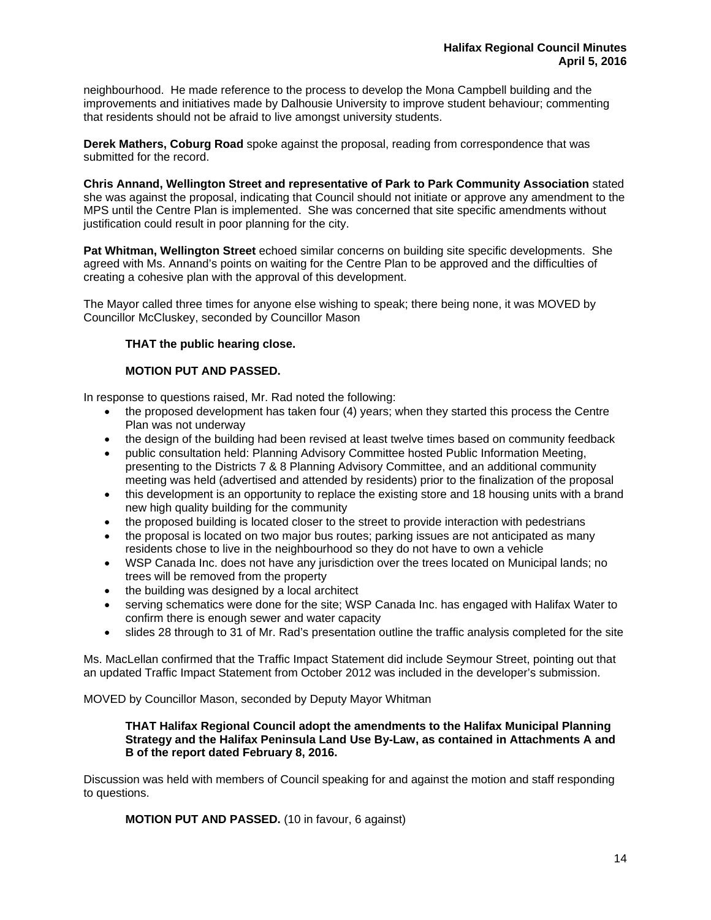neighbourhood. He made reference to the process to develop the Mona Campbell building and the improvements and initiatives made by Dalhousie University to improve student behaviour; commenting that residents should not be afraid to live amongst university students.

**Derek Mathers, Coburg Road** spoke against the proposal, reading from correspondence that was submitted for the record.

**Chris Annand, Wellington Street and representative of Park to Park Community Association** stated she was against the proposal, indicating that Council should not initiate or approve any amendment to the MPS until the Centre Plan is implemented. She was concerned that site specific amendments without justification could result in poor planning for the city.

**Pat Whitman, Wellington Street** echoed similar concerns on building site specific developments. She agreed with Ms. Annand's points on waiting for the Centre Plan to be approved and the difficulties of creating a cohesive plan with the approval of this development.

The Mayor called three times for anyone else wishing to speak; there being none, it was MOVED by Councillor McCluskey, seconded by Councillor Mason

## **THAT the public hearing close.**

## **MOTION PUT AND PASSED.**

In response to questions raised, Mr. Rad noted the following:

- $\bullet$  the proposed development has taken four (4) years; when they started this process the Centre Plan was not underway
- the design of the building had been revised at least twelve times based on community feedback
- public consultation held: Planning Advisory Committee hosted Public Information Meeting, presenting to the Districts 7 & 8 Planning Advisory Committee, and an additional community meeting was held (advertised and attended by residents) prior to the finalization of the proposal
- this development is an opportunity to replace the existing store and 18 housing units with a brand new high quality building for the community
- the proposed building is located closer to the street to provide interaction with pedestrians
- the proposal is located on two major bus routes; parking issues are not anticipated as many residents chose to live in the neighbourhood so they do not have to own a vehicle
- WSP Canada Inc. does not have any jurisdiction over the trees located on Municipal lands; no trees will be removed from the property
- the building was designed by a local architect
- serving schematics were done for the site; WSP Canada Inc. has engaged with Halifax Water to confirm there is enough sewer and water capacity
- slides 28 through to 31 of Mr. Rad's presentation outline the traffic analysis completed for the site

Ms. MacLellan confirmed that the Traffic Impact Statement did include Seymour Street, pointing out that an updated Traffic Impact Statement from October 2012 was included in the developer's submission.

MOVED by Councillor Mason, seconded by Deputy Mayor Whitman

## **THAT Halifax Regional Council adopt the amendments to the Halifax Municipal Planning Strategy and the Halifax Peninsula Land Use By-Law, as contained in Attachments A and B of the report dated February 8, 2016.**

Discussion was held with members of Council speaking for and against the motion and staff responding to questions.

**MOTION PUT AND PASSED.** (10 in favour, 6 against)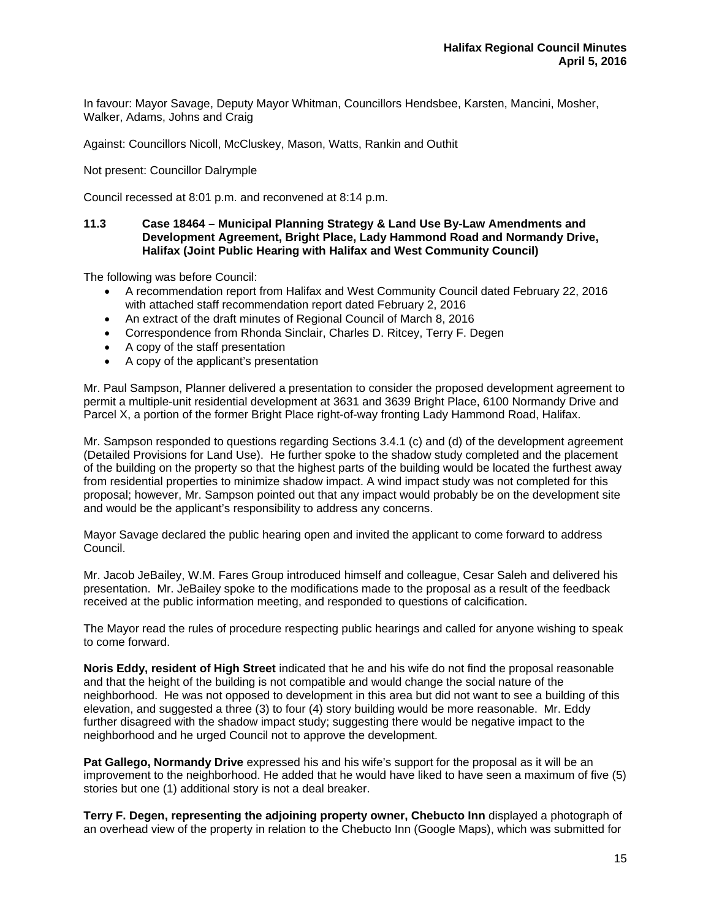In favour: Mayor Savage, Deputy Mayor Whitman, Councillors Hendsbee, Karsten, Mancini, Mosher, Walker, Adams, Johns and Craig

Against: Councillors Nicoll, McCluskey, Mason, Watts, Rankin and Outhit

Not present: Councillor Dalrymple

Council recessed at 8:01 p.m. and reconvened at 8:14 p.m.

#### **11.3 Case 18464 – Municipal Planning Strategy & Land Use By-Law Amendments and Development Agreement, Bright Place, Lady Hammond Road and Normandy Drive, Halifax (Joint Public Hearing with Halifax and West Community Council)**

The following was before Council:

- A recommendation report from Halifax and West Community Council dated February 22, 2016 with attached staff recommendation report dated February 2, 2016
- An extract of the draft minutes of Regional Council of March 8, 2016
- Correspondence from Rhonda Sinclair, Charles D. Ritcey, Terry F. Degen
- A copy of the staff presentation
- A copy of the applicant's presentation

Mr. Paul Sampson, Planner delivered a presentation to consider the proposed development agreement to permit a multiple-unit residential development at 3631 and 3639 Bright Place, 6100 Normandy Drive and Parcel X, a portion of the former Bright Place right-of-way fronting Lady Hammond Road, Halifax.

Mr. Sampson responded to questions regarding Sections 3.4.1 (c) and (d) of the development agreement (Detailed Provisions for Land Use). He further spoke to the shadow study completed and the placement of the building on the property so that the highest parts of the building would be located the furthest away from residential properties to minimize shadow impact. A wind impact study was not completed for this proposal; however, Mr. Sampson pointed out that any impact would probably be on the development site and would be the applicant's responsibility to address any concerns.

Mayor Savage declared the public hearing open and invited the applicant to come forward to address Council.

Mr. Jacob JeBailey, W.M. Fares Group introduced himself and colleague, Cesar Saleh and delivered his presentation. Mr. JeBailey spoke to the modifications made to the proposal as a result of the feedback received at the public information meeting, and responded to questions of calcification.

The Mayor read the rules of procedure respecting public hearings and called for anyone wishing to speak to come forward.

**Noris Eddy, resident of High Street** indicated that he and his wife do not find the proposal reasonable and that the height of the building is not compatible and would change the social nature of the neighborhood. He was not opposed to development in this area but did not want to see a building of this elevation, and suggested a three (3) to four (4) story building would be more reasonable. Mr. Eddy further disagreed with the shadow impact study; suggesting there would be negative impact to the neighborhood and he urged Council not to approve the development.

**Pat Gallego, Normandy Drive** expressed his and his wife's support for the proposal as it will be an improvement to the neighborhood. He added that he would have liked to have seen a maximum of five (5) stories but one (1) additional story is not a deal breaker.

**Terry F. Degen, representing the adjoining property owner, Chebucto Inn** displayed a photograph of an overhead view of the property in relation to the Chebucto Inn (Google Maps), which was submitted for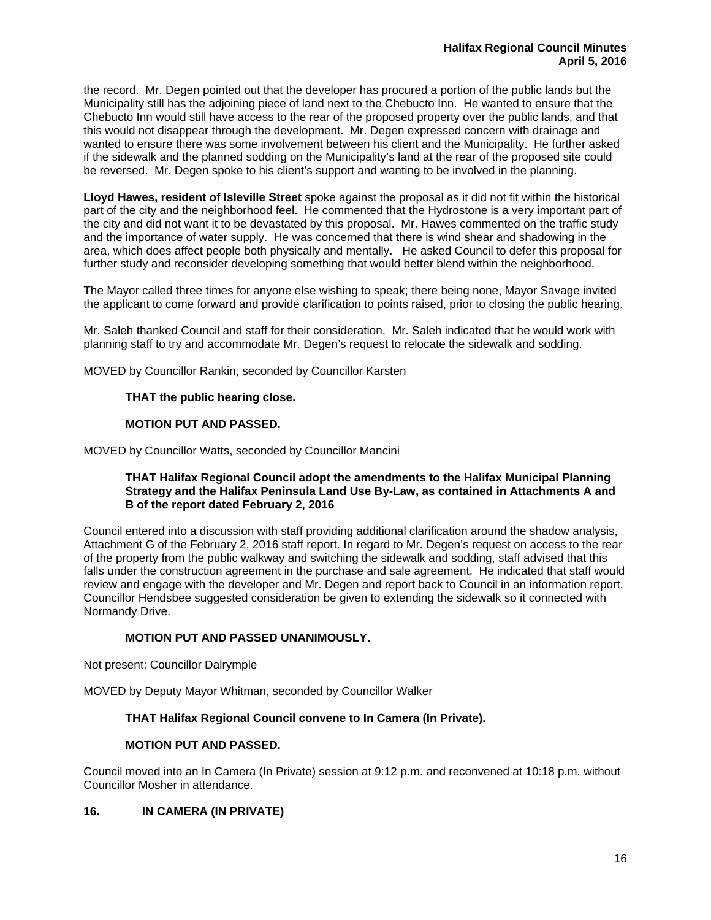the record. Mr. Degen pointed out that the developer has procured a portion of the public lands but the Municipality still has the adjoining piece of land next to the Chebucto Inn. He wanted to ensure that the Chebucto Inn would still have access to the rear of the proposed property over the public lands, and that this would not disappear through the development. Mr. Degen expressed concern with drainage and wanted to ensure there was some involvement between his client and the Municipality. He further asked if the sidewalk and the planned sodding on the Municipality's land at the rear of the proposed site could be reversed. Mr. Degen spoke to his client's support and wanting to be involved in the planning.

**Lloyd Hawes, resident of Isleville Street** spoke against the proposal as it did not fit within the historical part of the city and the neighborhood feel. He commented that the Hydrostone is a very important part of the city and did not want it to be devastated by this proposal. Mr. Hawes commented on the traffic study and the importance of water supply. He was concerned that there is wind shear and shadowing in the area, which does affect people both physically and mentally. He asked Council to defer this proposal for further study and reconsider developing something that would better blend within the neighborhood.

The Mayor called three times for anyone else wishing to speak; there being none, Mayor Savage invited the applicant to come forward and provide clarification to points raised, prior to closing the public hearing.

Mr. Saleh thanked Council and staff for their consideration. Mr. Saleh indicated that he would work with planning staff to try and accommodate Mr. Degen's request to relocate the sidewalk and sodding.

MOVED by Councillor Rankin, seconded by Councillor Karsten

## **THAT the public hearing close.**

## **MOTION PUT AND PASSED.**

MOVED by Councillor Watts, seconded by Councillor Mancini

## **THAT Halifax Regional Council adopt the amendments to the Halifax Municipal Planning Strategy and the Halifax Peninsula Land Use By-Law, as contained in Attachments A and B of the report dated February 2, 2016**

Council entered into a discussion with staff providing additional clarification around the shadow analysis, Attachment G of the February 2, 2016 staff report. In regard to Mr. Degen's request on access to the rear of the property from the public walkway and switching the sidewalk and sodding, staff advised that this falls under the construction agreement in the purchase and sale agreement. He indicated that staff would review and engage with the developer and Mr. Degen and report back to Council in an information report. Councillor Hendsbee suggested consideration be given to extending the sidewalk so it connected with Normandy Drive.

## **MOTION PUT AND PASSED UNANIMOUSLY.**

Not present: Councillor Dalrymple

MOVED by Deputy Mayor Whitman, seconded by Councillor Walker

## **THAT Halifax Regional Council convene to In Camera (In Private).**

## **MOTION PUT AND PASSED.**

Council moved into an In Camera (In Private) session at 9:12 p.m. and reconvened at 10:18 p.m. without Councillor Mosher in attendance.

## **16. IN CAMERA (IN PRIVATE)**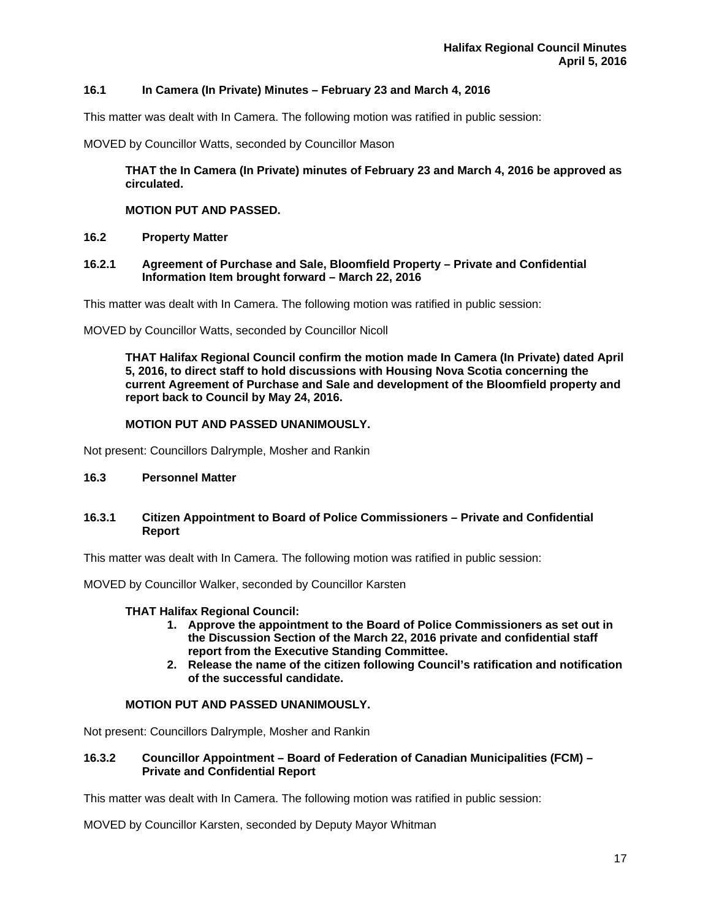## **16.1 In Camera (In Private) Minutes – February 23 and March 4, 2016**

This matter was dealt with In Camera. The following motion was ratified in public session:

MOVED by Councillor Watts, seconded by Councillor Mason

**THAT the In Camera (In Private) minutes of February 23 and March 4, 2016 be approved as circulated.** 

## **MOTION PUT AND PASSED.**

**16.2 Property Matter** 

#### **16.2.1 Agreement of Purchase and Sale, Bloomfield Property – Private and Confidential Information Item brought forward – March 22, 2016**

This matter was dealt with In Camera. The following motion was ratified in public session:

MOVED by Councillor Watts, seconded by Councillor Nicoll

**THAT Halifax Regional Council confirm the motion made In Camera (In Private) dated April 5, 2016, to direct staff to hold discussions with Housing Nova Scotia concerning the current Agreement of Purchase and Sale and development of the Bloomfield property and report back to Council by May 24, 2016.** 

## **MOTION PUT AND PASSED UNANIMOUSLY.**

Not present: Councillors Dalrymple, Mosher and Rankin

## **16.3 Personnel Matter**

## **16.3.1 Citizen Appointment to Board of Police Commissioners – Private and Confidential Report**

This matter was dealt with In Camera. The following motion was ratified in public session:

MOVED by Councillor Walker, seconded by Councillor Karsten

## **THAT Halifax Regional Council:**

- **1. Approve the appointment to the Board of Police Commissioners as set out in the Discussion Section of the March 22, 2016 private and confidential staff report from the Executive Standing Committee.**
- **2. Release the name of the citizen following Council's ratification and notification of the successful candidate.**

## **MOTION PUT AND PASSED UNANIMOUSLY.**

Not present: Councillors Dalrymple, Mosher and Rankin

## **16.3.2 Councillor Appointment – Board of Federation of Canadian Municipalities (FCM) – Private and Confidential Report**

This matter was dealt with In Camera. The following motion was ratified in public session:

MOVED by Councillor Karsten, seconded by Deputy Mayor Whitman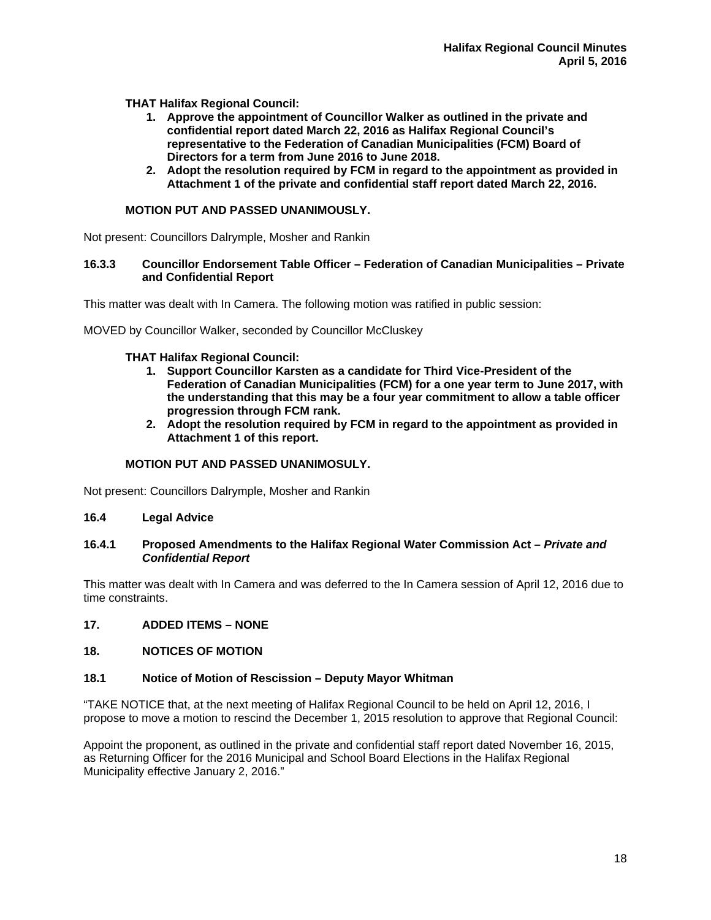## **THAT Halifax Regional Council:**

- **1. Approve the appointment of Councillor Walker as outlined in the private and confidential report dated March 22, 2016 as Halifax Regional Council's representative to the Federation of Canadian Municipalities (FCM) Board of Directors for a term from June 2016 to June 2018.**
- **2. Adopt the resolution required by FCM in regard to the appointment as provided in Attachment 1 of the private and confidential staff report dated March 22, 2016.**

## **MOTION PUT AND PASSED UNANIMOUSLY.**

Not present: Councillors Dalrymple, Mosher and Rankin

## **16.3.3 Councillor Endorsement Table Officer – Federation of Canadian Municipalities – Private and Confidential Report**

This matter was dealt with In Camera. The following motion was ratified in public session:

MOVED by Councillor Walker, seconded by Councillor McCluskey

## **THAT Halifax Regional Council:**

- **1. Support Councillor Karsten as a candidate for Third Vice-President of the Federation of Canadian Municipalities (FCM) for a one year term to June 2017, with the understanding that this may be a four year commitment to allow a table officer progression through FCM rank.**
- **2. Adopt the resolution required by FCM in regard to the appointment as provided in Attachment 1 of this report.**

## **MOTION PUT AND PASSED UNANIMOSULY.**

Not present: Councillors Dalrymple, Mosher and Rankin

## **16.4 Legal Advice**

## **16.4.1 Proposed Amendments to the Halifax Regional Water Commission Act** *– Private and Confidential Report*

This matter was dealt with In Camera and was deferred to the In Camera session of April 12, 2016 due to time constraints.

## **17. ADDED ITEMS – NONE**

## **18. NOTICES OF MOTION**

## **18.1 Notice of Motion of Rescission – Deputy Mayor Whitman**

"TAKE NOTICE that, at the next meeting of Halifax Regional Council to be held on April 12, 2016, I propose to move a motion to rescind the December 1, 2015 resolution to approve that Regional Council:

Appoint the proponent, as outlined in the private and confidential staff report dated November 16, 2015, as Returning Officer for the 2016 Municipal and School Board Elections in the Halifax Regional Municipality effective January 2, 2016."